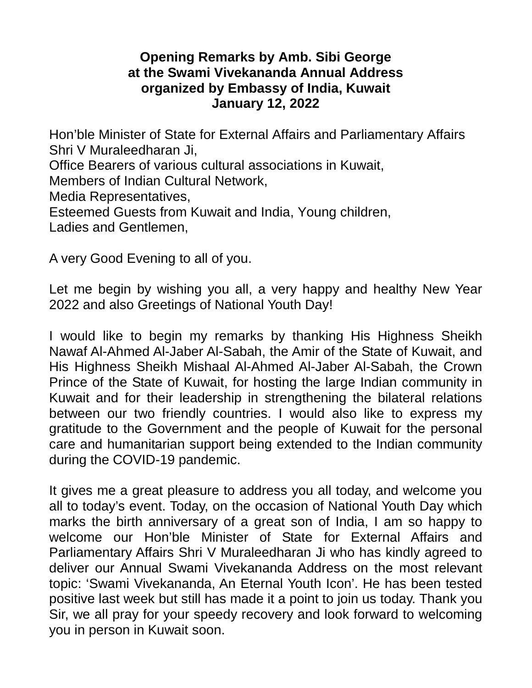## **Opening Remarks by Amb. Sibi George at the Swami Vivekananda Annual Address organized by Embassy of India, Kuwait January 12, 2022**

Hon'ble Minister of State for External Affairs and Parliamentary Affairs Shri V Muraleedharan Ji, Office Bearers of various cultural associations in Kuwait, Members of Indian Cultural Network, Media Representatives, Esteemed Guests from Kuwait and India, Young children, Ladies and Gentlemen,

A very Good Evening to all of you.

Let me begin by wishing you all, a very happy and healthy New Year 2022 and also Greetings of National Youth Day!

I would like to begin my remarks by thanking His Highness Sheikh Nawaf Al-Ahmed Al-Jaber Al-Sabah, the Amir of the State of Kuwait, and His Highness Sheikh Mishaal Al-Ahmed Al-Jaber Al-Sabah, the Crown Prince of the State of Kuwait, for hosting the large Indian community in Kuwait and for their leadership in strengthening the bilateral relations between our two friendly countries. I would also like to express my gratitude to the Government and the people of Kuwait for the personal care and humanitarian support being extended to the Indian community during the COVID-19 pandemic.

It gives me a great pleasure to address you all today, and welcome you all to today's event. Today, on the occasion of National Youth Day which marks the birth anniversary of a great son of India, I am so happy to welcome our Hon'ble Minister of State for External Affairs and Parliamentary Affairs Shri V Muraleedharan Ji who has kindly agreed to deliver our Annual Swami Vivekananda Address on the most relevant topic: 'Swami Vivekananda, An Eternal Youth Icon'. He has been tested positive last week but still has made it a point to join us today. Thank you Sir, we all pray for your speedy recovery and look forward to welcoming you in person in Kuwait soon.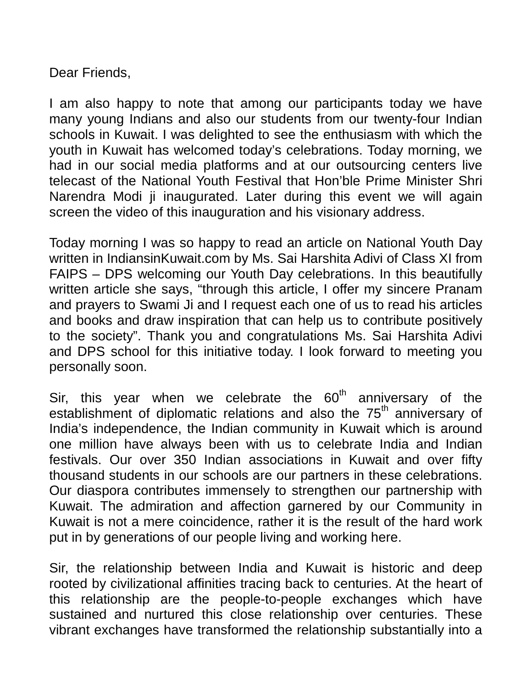Dear Friends,

I am also happy to note that among our participants today we have many young Indians and also our students from our twenty-four Indian schools in Kuwait. I was delighted to see the enthusiasm with which the youth in Kuwait has welcomed today's celebrations. Today morning, we had in our social media platforms and at our outsourcing centers live telecast of the National Youth Festival that Hon'ble Prime Minister Shri Narendra Modi ji inaugurated. Later during this event we will again screen the video of this inauguration and his visionary address.

Today morning I was so happy to read an article on National Youth Day written in IndiansinKuwait.com by Ms. Sai Harshita Adivi of Class XI from FAIPS – DPS welcoming our Youth Day celebrations. In this beautifully written article she says, "through this article, I offer my sincere Pranam and prayers to Swami Ji and I request each one of us to read his articles and books and draw inspiration that can help us to contribute positively to the society". Thank you and congratulations Ms. Sai Harshita Adivi and DPS school for this initiative today. I look forward to meeting you personally soon.

Sir, this year when we celebrate the  $60<sup>th</sup>$  anniversary of the establishment of diplomatic relations and also the  $75<sup>th</sup>$  anniversary of India's independence, the Indian community in Kuwait which is around one million have always been with us to celebrate India and Indian festivals. Our over 350 Indian associations in Kuwait and over fifty thousand students in our schools are our partners in these celebrations. Our diaspora contributes immensely to strengthen our partnership with Kuwait. The admiration and affection garnered by our Community in Kuwait is not a mere coincidence, rather it is the result of the hard work put in by generations of our people living and working here.

Sir, the relationship between India and Kuwait is historic and deep rooted by civilizational affinities tracing back to centuries. At the heart of this relationship are the people-to-people exchanges which have sustained and nurtured this close relationship over centuries. These vibrant exchanges have transformed the relationship substantially into a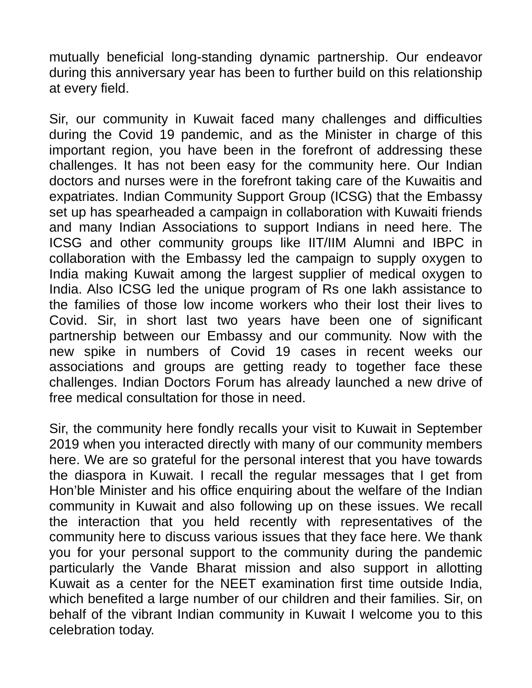mutually beneficial long-standing dynamic partnership. Our endeavor during this anniversary year has been to further build on this relationship at every field.

Sir, our community in Kuwait faced many challenges and difficulties during the Covid 19 pandemic, and as the Minister in charge of this important region, you have been in the forefront of addressing these challenges. It has not been easy for the community here. Our Indian doctors and nurses were in the forefront taking care of the Kuwaitis and expatriates. Indian Community Support Group (ICSG) that the Embassy set up has spearheaded a campaign in collaboration with Kuwaiti friends and many Indian Associations to support Indians in need here. The ICSG and other community groups like IIT/IIM Alumni and IBPC in collaboration with the Embassy led the campaign to supply oxygen to India making Kuwait among the largest supplier of medical oxygen to India. Also ICSG led the unique program of Rs one lakh assistance to the families of those low income workers who their lost their lives to Covid. Sir, in short last two years have been one of significant partnership between our Embassy and our community. Now with the new spike in numbers of Covid 19 cases in recent weeks our associations and groups are getting ready to together face these challenges. Indian Doctors Forum has already launched a new drive of free medical consultation for those in need.

Sir, the community here fondly recalls your visit to Kuwait in September 2019 when you interacted directly with many of our community members here. We are so grateful for the personal interest that you have towards the diaspora in Kuwait. I recall the regular messages that I get from Hon'ble Minister and his office enquiring about the welfare of the Indian community in Kuwait and also following up on these issues. We recall the interaction that you held recently with representatives of the community here to discuss various issues that they face here. We thank you for your personal support to the community during the pandemic particularly the Vande Bharat mission and also support in allotting Kuwait as a center for the NEET examination first time outside India, which benefited a large number of our children and their families. Sir, on behalf of the vibrant Indian community in Kuwait I welcome you to this celebration today.